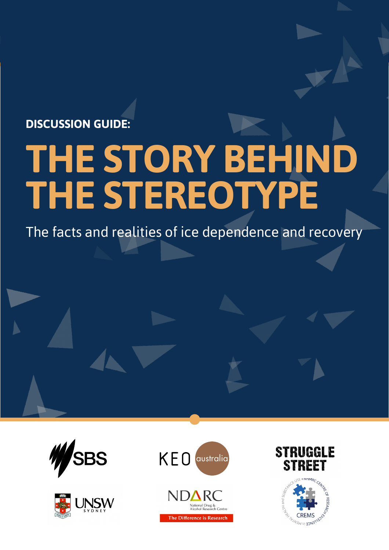## **DISCUSSION GUIDE:**

# **THE STORY BEHIND THE STEREOTYPE**

The facts and realities of ice dependence and recovery











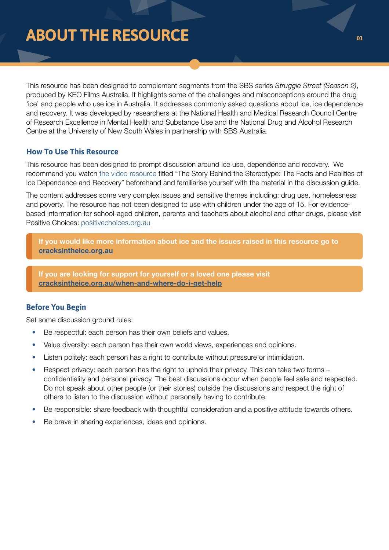# **ABOUT THE RESOURCE**

This resource has been designed to complement segments from the SBS series *Struggle Street (Season 2)*, produced by KEO Films Australia. It highlights some of the challenges and misconceptions around the drug 'ice' and people who use ice in Australia. It addresses commonly asked questions about ice, ice dependence and recovery. It was developed by researchers at the National Health and Medical Research Council Centre of Research Excellence in Mental Health and Substance Use and the National Drug and Alcohol Research Centre at the University of New South Wales in partnership with SBS Australia.

## **How To Use This Resource**

This resource has been designed to prompt discussion around ice use, dependence and recovery. We recommend you watch [the video resource](https://www.sbs.com.au/ondemand/video/1276109379791) titled "The Story Behind the Stereotype: The Facts and Realities of Ice Dependence and Recovery" beforehand and familiarise yourself with the material in the discussion guide.

The content addresses some very complex issues and sensitive themes including; drug use, homelessness and poverty. The resource has not been designed to use with children under the age of 15. For evidencebased information for school-aged children, parents and teachers about alcohol and other drugs, please visit Positive Choices: [positivechoices.org.au](http://positivechoices.org.au)

If you would like more information about ice and the issues raised in this resource go to [cracksintheice.org.au](http://cracksintheice.org.au)

If you are looking for support for yourself or a loved one please visit [cracksintheice.org.au/when-and-where-do-i-get-help](http://cracksintheice.org.au/when-and-where-do-i-get-help)

## **Before You Begin**

Set some discussion ground rules:

- Be respectful: each person has their own beliefs and values.
- Value diversity: each person has their own world views, experiences and opinions.
- Listen politely: each person has a right to contribute without pressure or intimidation.
- Respect privacy: each person has the right to uphold their privacy. This can take two forms confidentiality and personal privacy. The best discussions occur when people feel safe and respected. Do not speak about other people (or their stories) outside the discussions and respect the right of others to listen to the discussion without personally having to contribute.
- Be responsible: share feedback with thoughtful consideration and a positive attitude towards others.
- Be brave in sharing experiences, ideas and opinions.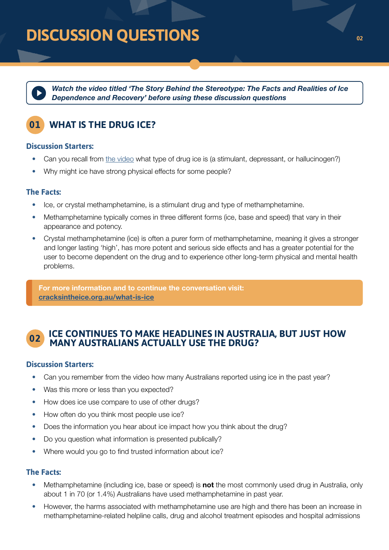*[Watch the video titled 'The Story Behind the Stereotype: The Facts and Realities of Ice](https://www.sbs.com.au/ondemand/video/1276109379791)  Dependence and Recovery' before using these discussion questions*

## **01 WHAT IS THE DRUG ICE?**

## **Discussion Starters:**

- Can you recall from [the video](https://www.sbs.com.au/ondemand/video/1276109379791) what type of drug ice is (a stimulant, depressant, or hallucinogen?)
- Why might ice have strong physical effects for some people?

## **The Facts:**

- Ice, or crystal methamphetamine, is a stimulant drug and type of methamphetamine.
- Methamphetamine typically comes in three different forms (ice, base and speed) that vary in their appearance and potency.
- Crystal methamphetamine (ice) is often a purer form of methamphetamine, meaning it gives a stronger and longer lasting 'high', has more potent and serious side effects and has a greater potential for the user to become dependent on the drug and to experience other long-term physical and mental health problems.

For more information and to continue the conversation visit: [cracksintheice.org.au/what-is-ice](http://cracksintheice.org.au/what-is-ice)

# **ICE CONTINUES TO MAKE HEADLINES IN AUSTRALIA, BUT JUST HOW 02 MANY AUSTRALIANS ACTUALLY USE THE DRUG?**

## **Discussion Starters:**

- Can you remember from the video how many Australians reported using ice in the past year?
- Was this more or less than you expected?
- How does ice use compare to use of other drugs?
- How often do you think most people use ice?
- Does the information you hear about ice impact how you think about the drug?
- Do you question what information is presented publically?
- Where would you go to find trusted information about ice?

## **The Facts:**

- Methamphetamine (including ice, base or speed) is **not** the most commonly used drug in Australia, only about 1 in 70 (or 1.4%) Australians have used methamphetamine in past year.
- However, the harms associated with methamphetamine use are high and there has been an increase in methamphetamine-related helpline calls, drug and alcohol treatment episodes and hospital admissions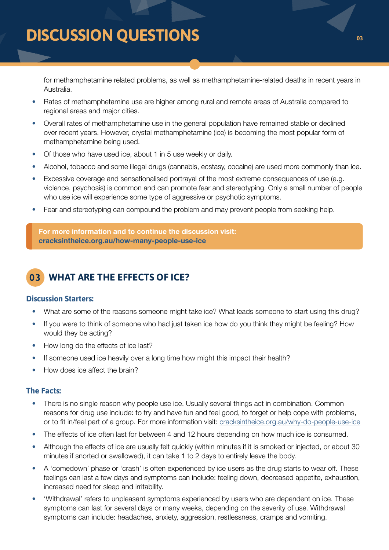for methamphetamine related problems, as well as methamphetamine-related deaths in recent years in Australia.

- Rates of methamphetamine use are higher among rural and remote areas of Australia compared to regional areas and major cities.
- Overall rates of methamphetamine use in the general population have remained stable or declined over recent years. However, crystal methamphetamine (ice) is becoming the most popular form of methamphetamine being used.
- Of those who have used ice, about 1 in 5 use weekly or daily.
- Alcohol, tobacco and some illegal drugs (cannabis, ecstasy, cocaine) are used more commonly than ice.
- Excessive coverage and sensationalised portrayal of the most extreme consequences of use (e.g. violence, psychosis) is common and can promote fear and stereotyping. Only a small number of people who use ice will experience some type of aggressive or psychotic symptoms.
- Fear and stereotyping can compound the problem and may prevent people from seeking help.

For more information and to continue the discussion visit: [cracksintheice.org.au/how-many-people-use-ice](http://cracksintheice.org.au/how-many-people-use-ice)

## **03 WHAT ARE THE EFFECTS OF ICE?**

## **Discussion Starters:**

- What are some of the reasons someone might take ice? What leads someone to start using this drug?
- If you were to think of someone who had just taken ice how do you think they might be feeling? How would they be acting?
- How long do the effects of ice last?
- If someone used ice heavily over a long time how might this impact their health?
- How does ice affect the brain?

## **The Facts:**

- There is no single reason why people use ice. Usually several things act in combination. Common reasons for drug use include: to try and have fun and feel good, to forget or help cope with problems, or to fit in/feel part of a group. For more information visit: [cracksintheice.org.au/why-do-people-use-ice](http://cracksintheice.org.au/why-do-people-use-ice)
- The effects of ice often last for between 4 and 12 hours depending on how much ice is consumed.
- Although the effects of ice are usually felt quickly (within minutes if it is smoked or injected, or about 30 minutes if snorted or swallowed), it can take 1 to 2 days to entirely leave the body.
- A 'comedown' phase or 'crash' is often experienced by ice users as the drug starts to wear off. These feelings can last a few days and symptoms can include: feeling down, decreased appetite, exhaustion, increased need for sleep and irritability.
- 'Withdrawal' refers to unpleasant symptoms experienced by users who are dependent on ice. These symptoms can last for several days or many weeks, depending on the severity of use. Withdrawal symptoms can include: headaches, anxiety, aggression, restlessness, cramps and vomiting.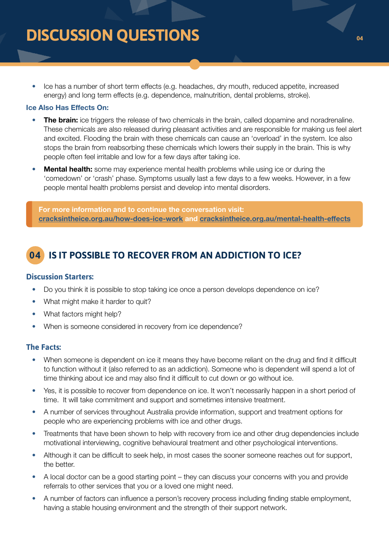• Ice has a number of short term effects (e.g. headaches, dry mouth, reduced appetite, increased energy) and long term effects (e.g. dependence, malnutrition, dental problems, stroke).

#### Ice Also Has Effects On:

- The brain: ice triggers the release of two chemicals in the brain, called dopamine and noradrenaline. These chemicals are also released during pleasant activities and are responsible for making us feel alert and excited. Flooding the brain with these chemicals can cause an 'overload' in the system. Ice also stops the brain from reabsorbing these chemicals which lowers their supply in the brain. This is why people often feel irritable and low for a few days after taking ice.
- **Mental health:** some may experience mental health problems while using ice or during the 'comedown' or 'crash' phase. Symptoms usually last a few days to a few weeks. However, in a few people mental health problems persist and develop into mental disorders.

For more information and to continue the conversation visit: [cracksintheice.org.au/how-does-ice-work](http://cracksintheice.org.au/how-does-ice-work) and [cracksintheice.org.au/mental-health-effects](http://cracksintheice.org.au/mental-health-effects)

## **04 IS IT POSSIBLE TO RECOVER FROM AN ADDICTION TO ICE?**

## **Discussion Starters:**

- Do you think it is possible to stop taking ice once a person develops dependence on ice?
- What might make it harder to quit?
- What factors might help?
- When is someone considered in recovery from ice dependence?

## **The Facts:**

- When someone is dependent on ice it means they have become reliant on the drug and find it difficult to function without it (also referred to as an addiction). Someone who is dependent will spend a lot of time thinking about ice and may also find it difficult to cut down or go without ice.
- Yes, it is possible to recover from dependence on ice. It won't necessarily happen in a short period of time. It will take commitment and support and sometimes intensive treatment.
- A number of services throughout Australia provide information, support and treatment options for people who are experiencing problems with ice and other drugs.
- Treatments that have been shown to help with recovery from ice and other drug dependencies include motivational interviewing, cognitive behavioural treatment and other psychological interventions.
- Although it can be difficult to seek help, in most cases the sooner someone reaches out for support, the better.
- A local doctor can be a good starting point they can discuss your concerns with you and provide referrals to other services that you or a loved one might need.
- A number of factors can influence a person's recovery process including finding stable employment, having a stable housing environment and the strength of their support network.